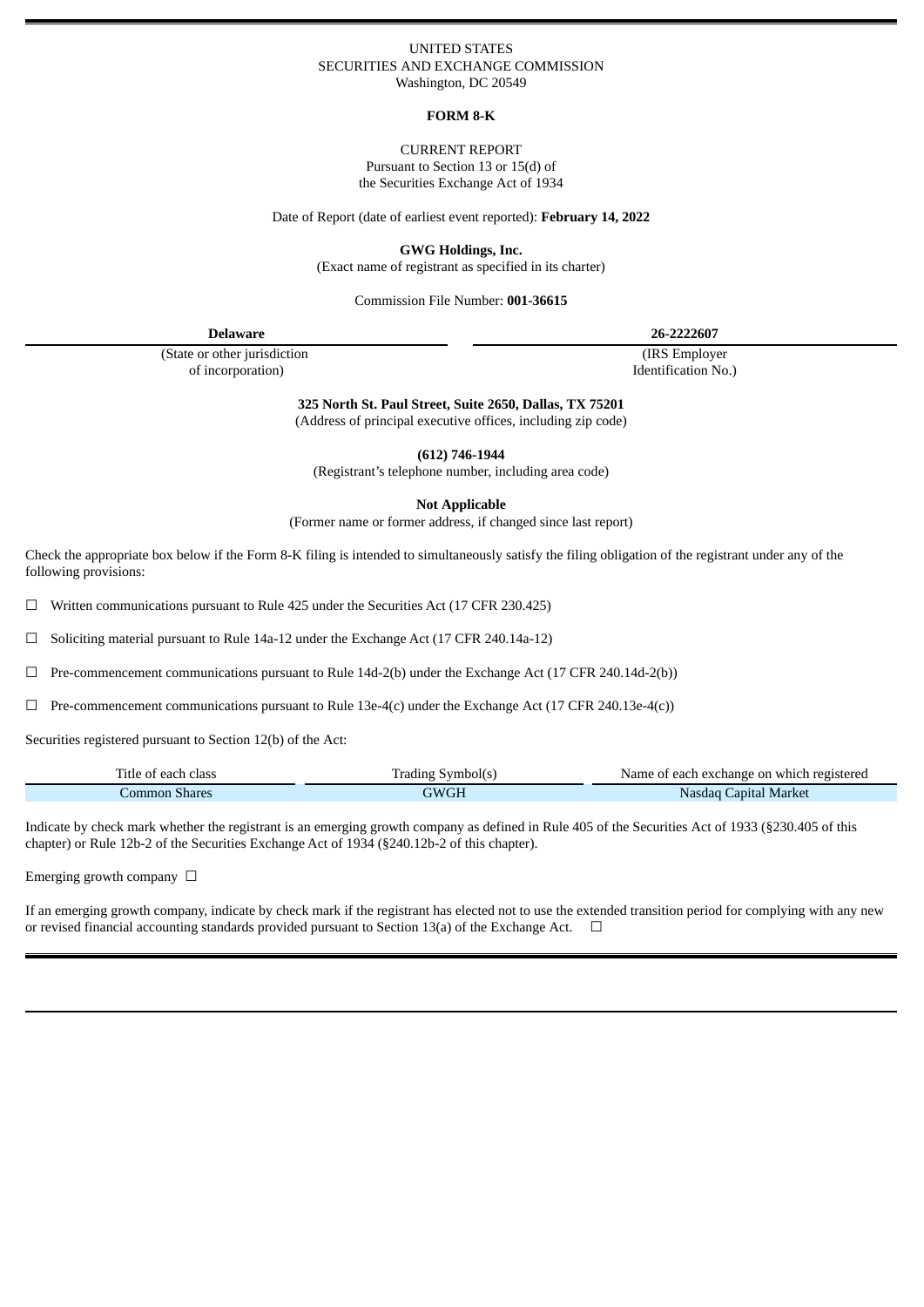#### UNITED STATES SECURITIES AND EXCHANGE COMMISSION Washington, DC 20549

### **FORM 8-K**

CURRENT REPORT Pursuant to Section 13 or 15(d) of the Securities Exchange Act of 1934

Date of Report (date of earliest event reported): **February 14, 2022**

**GWG Holdings, Inc.**

(Exact name of registrant as specified in its charter)

Commission File Number: **001-36615**

| <b>Delaware</b>               | 26-2222607          |
|-------------------------------|---------------------|
| (State or other jurisdiction) | (IRS Employer)      |
| of incorporation)             | Identification No.) |

**325 North St. Paul Street, Suite 2650, Dallas, TX 75201**

(Address of principal executive offices, including zip code)

**(612) 746-1944**

(Registrant's telephone number, including area code)

**Not Applicable**

(Former name or former address, if changed since last report)

Check the appropriate box below if the Form 8-K filing is intended to simultaneously satisfy the filing obligation of the registrant under any of the following provisions:

 $\Box$  Written communications pursuant to Rule 425 under the Securities Act (17 CFR 230.425)

☐ Soliciting material pursuant to Rule 14a-12 under the Exchange Act (17 CFR 240.14a-12)

 $\Box$  Pre-commencement communications pursuant to Rule 14d-2(b) under the Exchange Act (17 CFR 240.14d-2(b))

 $\Box$  Pre-commencement communications pursuant to Rule 13e-4(c) under the Exchange Act (17 CFR 240.13e-4(c))

Securities registered pursuant to Section 12(b) of the Act:

| Title of each class | Irading Symbol(s) | Name of each exchange on which registered |
|---------------------|-------------------|-------------------------------------------|
| Common Shares       | GWGH              | Nasdag Capital Market                     |

Indicate by check mark whether the registrant is an emerging growth company as defined in Rule 405 of the Securities Act of 1933 (§230.405 of this chapter) or Rule 12b-2 of the Securities Exchange Act of 1934 (§240.12b-2 of this chapter).

Emerging growth company  $\Box$ 

If an emerging growth company, indicate by check mark if the registrant has elected not to use the extended transition period for complying with any new or revised financial accounting standards provided pursuant to Section 13(a) of the Exchange Act.  $\Box$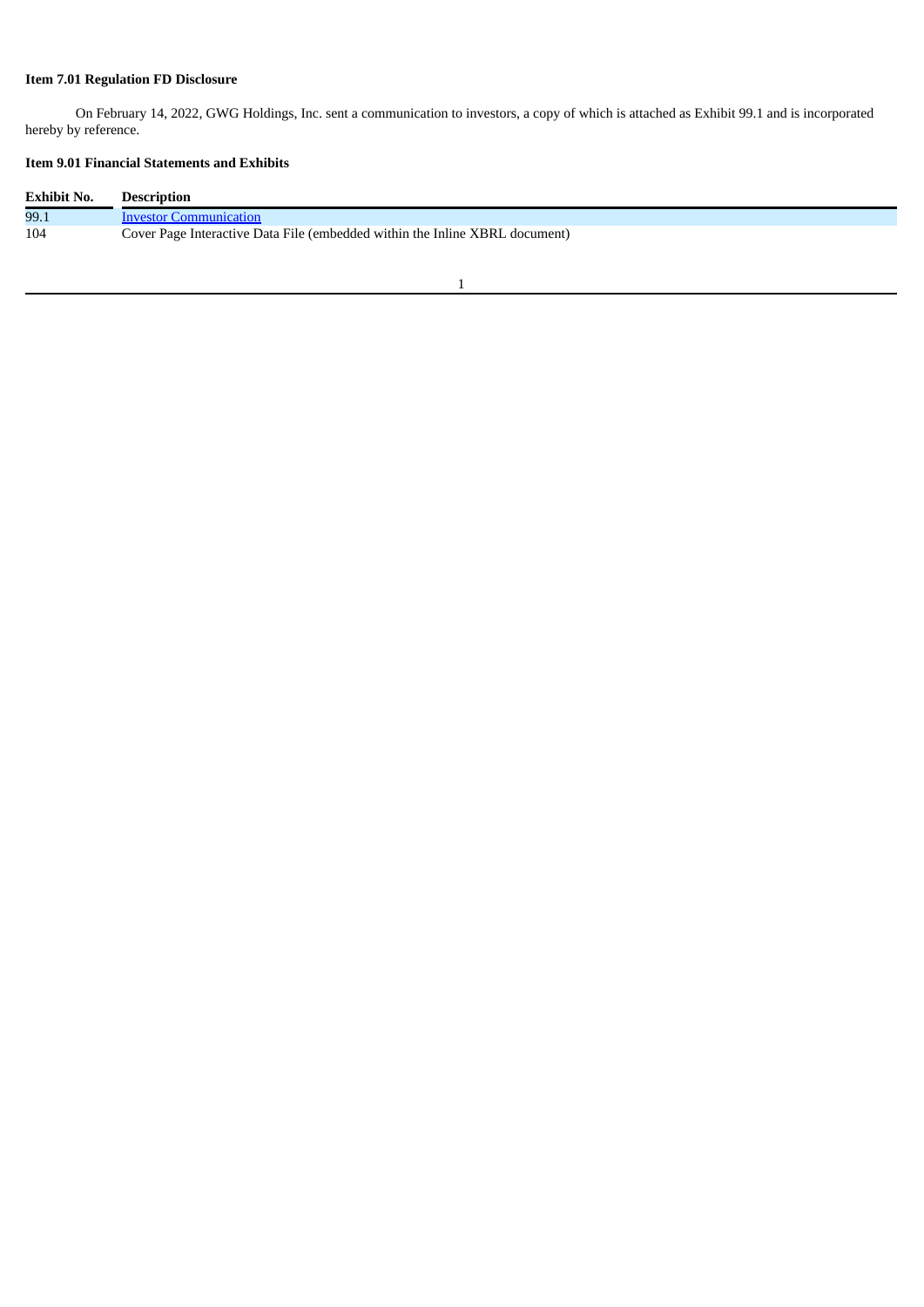## **Item 7.01 Regulation FD Disclosure**

On February 14, 2022, GWG Holdings, Inc. sent a communication to investors, a copy of which is attached as Exhibit 99.1 and is incorporated hereby by reference.

# **Item 9.01 Financial Statements and Exhibits**

| <b>Exhibit No.</b> | <b>Description</b>                                                          |
|--------------------|-----------------------------------------------------------------------------|
| 99.1               | Investor Communication                                                      |
| 104                | Cover Page Interactive Data File (embedded within the Inline XBRL document) |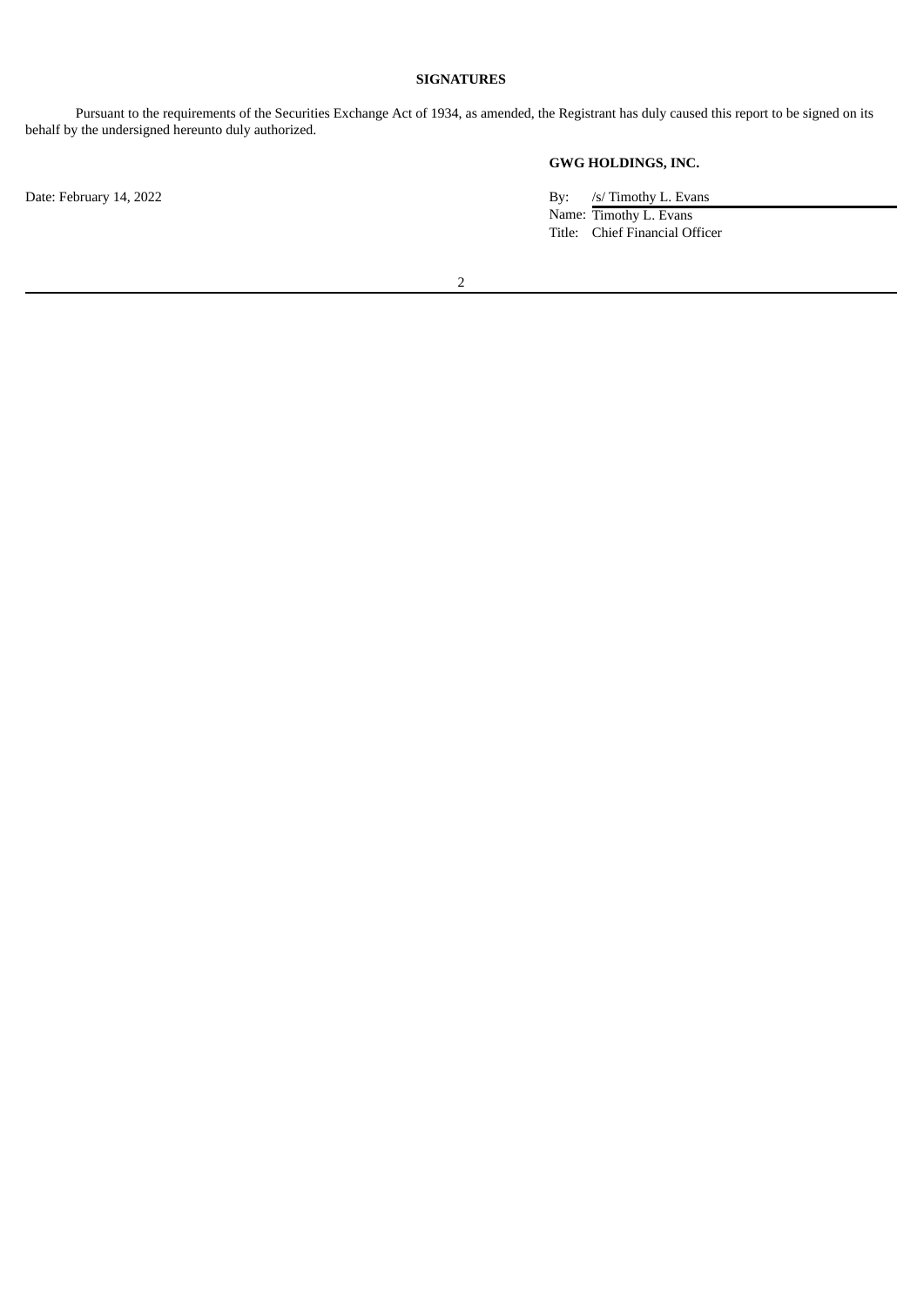### **SIGNATURES**

Pursuant to the requirements of the Securities Exchange Act of 1934, as amended, the Registrant has duly caused this report to be signed on its behalf by the undersigned hereunto duly authorized.

**GWG HOLDINGS, INC.**

Date: February 14, 2022 By: /s/ Timothy L. Evans Name: Timothy L. Evans Title: Chief Financial Officer

2